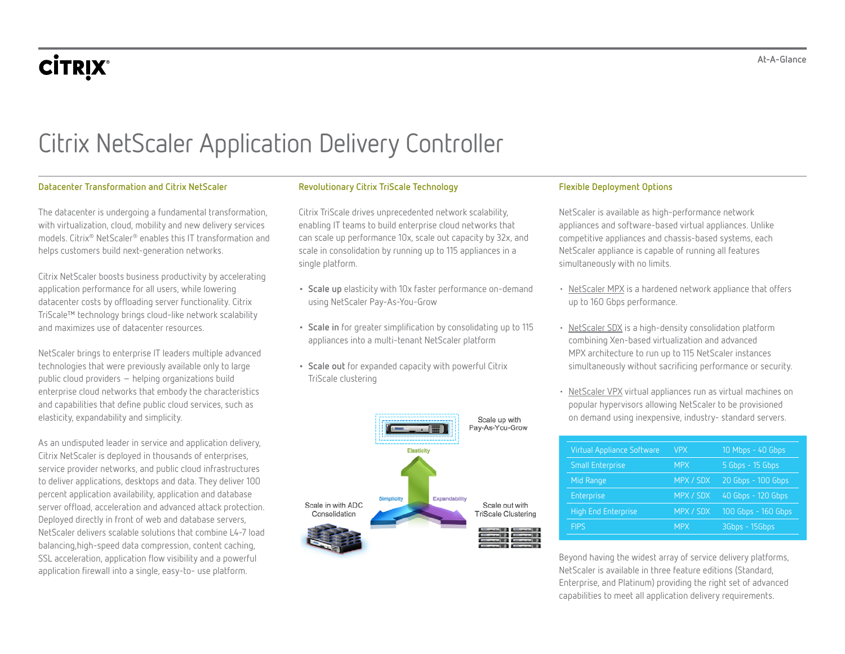# **CİTRIX®**

**At-A-Glance**

# Citrix NetScaler Application Delivery Controller

# **Datacenter Transformation and Citrix NetScaler**

The datacenter is undergoing a fundamental transformation, with virtualization, cloud, mobility and new delivery services models. Citrix® NetScaler® enables this IT transformation and helps customers build next-generation networks.

Citrix NetScaler boosts business productivity by accelerating application performance for all users, while lowering datacenter costs by offloading server functionality. Citrix TriScale™ technology brings cloud-like network scalability and maximizes use of datacenter resources.

NetScaler brings to enterprise IT leaders multiple advanced technologies that were previously available only to large public cloud providers – helping organizations build enterprise cloud networks that embody the characteristics and capabilities that define public cloud services, such as elasticity, expandability and simplicity.

As an undisputed leader in service and application delivery, Citrix NetScaler is deployed in thousands of enterprises, service provider networks, and public cloud infrastructures to deliver applications, desktops and data. They deliver 100 percent application availability, application and database server offload, acceleration and advanced attack protection. Deployed directly in front of web and database servers, NetScaler delivers scalable solutions that combine L4-7 load balancing,high-speed data compression, content caching, SSL acceleration, application flow visibility and a powerful application firewall into a single, easy-to- use platform.

# **Revolutionary Citrix TriScale Technology**

Citrix TriScale drives unprecedented network scalability, enabling IT teams to build enterprise cloud networks that can scale up performance 10x, scale out capacity by 32x, and scale in consolidation by running up to 115 appliances in a single platform.

- **• Scale up** elasticity with 10x faster performance on-demand using NetScaler Pay-As-You-Grow
- **• Scale in** for greater simplification by consolidating up to 115 appliances into a multi-tenant NetScaler platform
- **• Scale out** for expanded capacity with powerful Citrix TriScale clustering



# **Flexible Deployment Options**

NetScaler is available as high-performance network appliances and software-based virtual appliances. Unlike competitive appliances and chassis-based systems, each NetScaler appliance is capable of running all features simultaneously with no limits.

- [NetScaler MPX](https://www.citrix.com/products/netscaler-adc/platforms.html) is a hardened network appliance that offers up to 160 Gbps performance.
- [NetScaler SDX](https://www.citrix.com/products/netscaler-adc/platforms.html) is a high-density consolidation platform combining Xen-based virtualization and advanced MPX architecture to run up to 115 NetScaler instances simultaneously without sacrificing performance or security.
- [NetScaler VPX](https://www.citrix.com/products/netscaler-adc/platforms.html) virtual appliances run as virtual machines on popular hypervisors allowing NetScaler to be provisioned on demand using inexpensive, industry- standard servers.

| <b>Virtual Appliance Software</b> | <b>VPX</b> | 10 Mbps - 40 Gbps   |
|-----------------------------------|------------|---------------------|
| <b>Small Enterprise</b>           | <b>MPX</b> | 5 Gbps - 15 Gbps    |
| Mid Range                         | MPX / SDX  | 20 Gbps - 100 Gbps  |
| Enterprise                        | MPX / SDX  | 40 Gbps - 120 Gbps  |
| <b>High End Enterprise</b>        | MPX / SDX  | 100 Gbps - 160 Gbps |
| <b>FIPS</b>                       | <b>MPX</b> | 3Gbps - 15Gbps      |

Beyond having the widest array of service delivery platforms, NetScaler is available in three feature editions (Standard, Enterprise, and Platinum) providing the right set of advanced capabilities to meet all application delivery requirements.